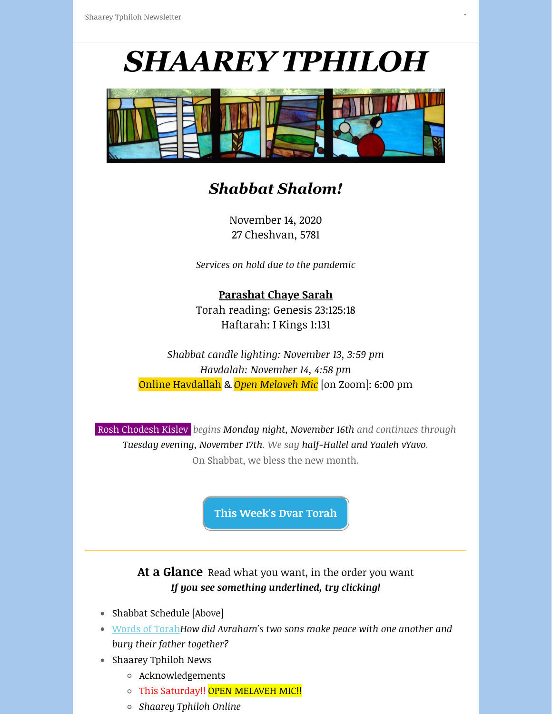# *SHAAREY TPHILOH*

"" "" ""



# *Shabbat Shalom!*

November 14, 2020 27 Cheshvan, 5781

*Services on hold due to the pandemic*

### **Parashat Chaye Sarah** Torah reading: Genesis 23:125:18 Haftarah: I Kings 1:131

*Shabbat candle lighting: November 13, 3:59 pm Havdalah: November 14, 4:58 pm* Online Havdallah & *Open Melaveh Mic* [on Zoom]: 6:00 pm

 Rosh Chodesh Kislev *begins Monday night, November 16th and continues through Tuesday evening, November 17th. We say half-Hallel and Yaaleh vYavo.* On Shabbat, we bless the new month.

**[This Week's Dvar Torah](https://mainesynagogue.us3.list-manage.com/track/click?u=0f66df177ad66102da0546e53&id=c5ebf7fe7c&e=41c50037b9)**

At a Glance Read what you want, in the order you want *If you see something underlined, try clicking!*

- Shabbat Schedule [Above]
- [Words of Torah](https://mainesynagogue.us3.list-manage.com/track/click?u=0f66df177ad66102da0546e53&id=cecfc9fe99&e=41c50037b9)*How did Avraham's two sons make peace with one another and bury their father together?*
- Shaarey Tphiloh News
	- Acknowledgements
	- o This Saturday!! OPEN MELAVEH MIC!!
	- *Shaarey Tphiloh Online*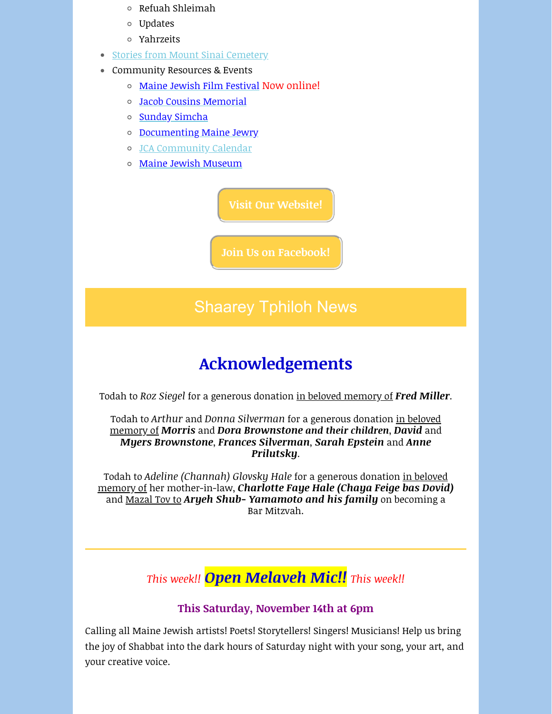- $\circ$  Refuah Shleimah
- Updates
- Yahrzeits
- [Stories from Mount Sinai Cemetery](https://mainesynagogue.us3.list-manage.com/track/click?u=0f66df177ad66102da0546e53&id=a30ed28799&e=41c50037b9)
- Community Resources & Events
	- [Maine Jewish Film Festival](https://mainesynagogue.us3.list-manage.com/track/click?u=0f66df177ad66102da0546e53&id=a3edd93ba9&e=41c50037b9) Now online!
	- [Jacob Cousins Memorial](https://mainesynagogue.us3.list-manage.com/track/click?u=0f66df177ad66102da0546e53&id=9cac364994&e=41c50037b9)
	- o [Sunday Simcha](https://mainesynagogue.us3.list-manage.com/track/click?u=0f66df177ad66102da0546e53&id=95dda656d7&e=41c50037b9)
	- o [Documenting Maine Jewry](https://mainesynagogue.us3.list-manage.com/track/click?u=0f66df177ad66102da0546e53&id=ac2a49d286&e=41c50037b9)
	- [JCA Community Calendar](https://mainesynagogue.us3.list-manage.com/track/click?u=0f66df177ad66102da0546e53&id=696b55c971&e=41c50037b9)
	- [Maine Jewish Museum](https://mainesynagogue.us3.list-manage.com/track/click?u=0f66df177ad66102da0546e53&id=687afb9832&e=41c50037b9)

**[Visit Our Website!](https://mainesynagogue.us3.list-manage.com/track/click?u=0f66df177ad66102da0546e53&id=d5520fc1a0&e=41c50037b9)**

**[Join Us on Facebook!](https://mainesynagogue.us3.list-manage.com/track/click?u=0f66df177ad66102da0546e53&id=bb6352a12d&e=41c50037b9)**

# Shaarey Tphiloh News

# **Acknowledgements**

Todah to *Roz Siegel* for a generous donation in beloved memory of *Fred Miller*.

Todah to *Arthur* and *Donna Silverman* for a generous donation in beloved memory of *Morris* and *Dora Brownstone and their children*, *David* and *Myers Brownstone*, *Frances Silverman*, *Sarah Epstein* and *Anne Prilutsky*.

Todah to *Adeline (Channah) Glovsky Hale* for a generous donation in beloved memory of her mother-in-law, *Charlotte Faye Hale (Chaya Feige bas Dovid)* and Mazal Tov to *Aryeh Shub- Yamamoto and his family* on becoming a Bar Mitzvah.

*This week!! Open Melaveh Mic!! This week!!*

### **This Saturday, November 14th at 6pm**

Calling all Maine Jewish artists! Poets! Storytellers! Singers! Musicians! Help us bring the joy of Shabbat into the dark hours of Saturday night with your song, your art, and your creative voice.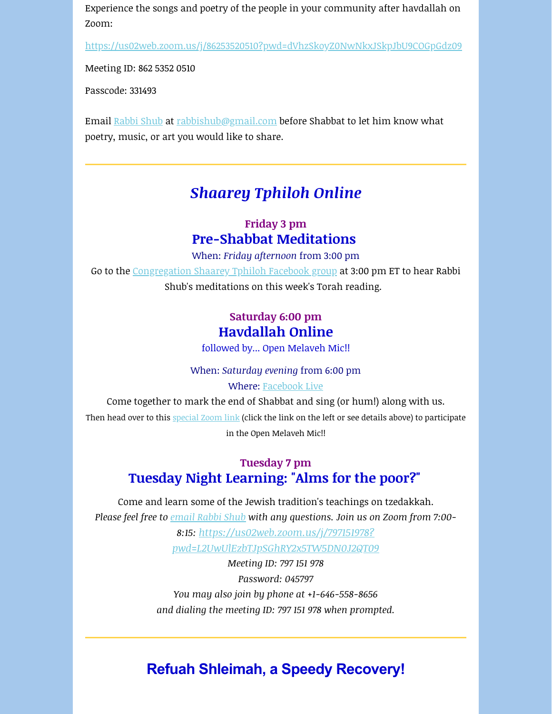Experience the songs and poetry of the people in your community after havdallah on Zoom:

[https://us02web.zoom.us/j/86253520510?pwd=dVhzSkoyZ0NwNkxJSkpJbU9COGpGdz09](https://mainesynagogue.us3.list-manage.com/track/click?u=0f66df177ad66102da0546e53&id=50f8e36167&e=41c50037b9)

Meeting ID: 862 5352 0510

Passcode: 331493

Email [Rabbi Shub](mailto:Rabbi@mainesynagogue.org?subject=Tuesday%20night%20learning%20%5Bvia%20ST%20e-newsletter%5D) at [rabbishub@gmail.com](mailto:rabbishub@gmail.com) before Shabbat to let him know what poetry, music, or art you would like to share.

## *Shaarey Tphiloh Online*

### **Friday 3 pm Pre-Shabbat Meditations**

When: *Friday afternoon* from 3:00 pm

Go to the [Congregation Shaarey Tphiloh Facebook group](https://mainesynagogue.us3.list-manage.com/track/click?u=0f66df177ad66102da0546e53&id=6f77c85277&e=41c50037b9) at 3:00 pm ET to hear Rabbi Shub's meditations on this week's Torah reading.

### **Saturday 6:00 pm Havdallah Online**

followed by... Open Melaveh Mic!!

#### When: *Saturday evening* from 6:00 pm

#### Where: [Facebook Live](https://mainesynagogue.us3.list-manage.com/track/click?u=0f66df177ad66102da0546e53&id=267360a103&e=41c50037b9)

Come together to mark the end of Shabbat and sing (or hum!) along with us. Then head over to this [special Zoom link](https://mainesynagogue.us3.list-manage.com/track/click?u=0f66df177ad66102da0546e53&id=4f6e8b2362&e=41c50037b9) (click the link on the left or see details above) to participate in the Open Melaveh Mic!!

### **Tuesday 7 pm Tuesday Night Learning: "Alms for the poor?"**

Come and learn some of the Jewish tradition's teachings on tzedakkah. *Please feel free to [email Rabbi Shub](mailto:Rabbi@mainesynagogue.org?subject=Tuesday%20night%20learning%20%5Bvia%20ST%20e-newsletter%5D) with any questions. Join us on Zoom from 7:00-*

> *8:15: https://us02web.zoom.us/j/797151978? [pwd=L2UwUlEzbTJpSGhRY2x5TW5DN0J2QT09](https://mainesynagogue.us3.list-manage.com/track/click?u=0f66df177ad66102da0546e53&id=86a4fba1ec&e=41c50037b9)*

*Meeting ID: 797 151 978 Password: 045797 You may also join by phone at +1-646-558-8656 and dialing the meeting ID: 797 151 978 when prompted.*

# **Refuah Shleimah, a Speedy Recovery!**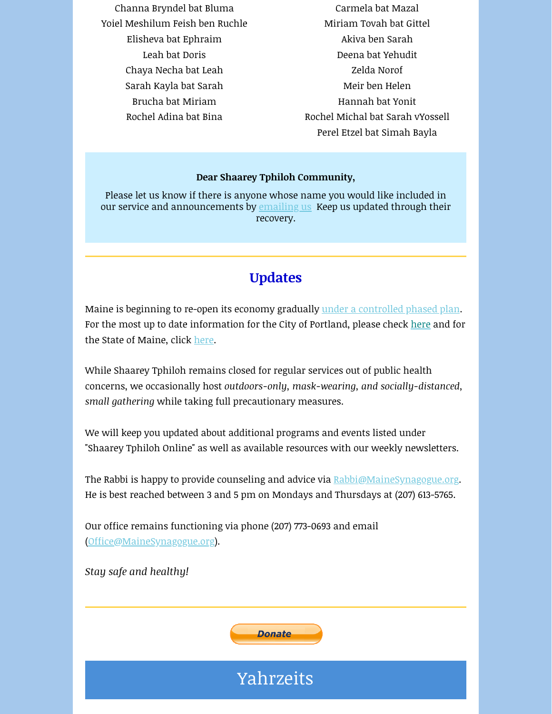Channa Bryndel bat Bluma Yoiel Meshilum Feish ben Ruchle Elisheva bat Ephraim Leah bat Doris Chaya Necha bat Leah Sarah Kayla bat Sarah Brucha bat Miriam Rochel Adina bat Bina

Carmela bat Mazal Miriam Tovah bat Gittel Akiva ben Sarah Deena bat Yehudit Zelda Norof Meir ben Helen Hannah bat Yonit Rochel Michal bat Sarah vYossell Perel Etzel bat Simah Bayla

#### **Dear Shaarey Tphiloh Community,**

Please let us know if there is anyone whose name you would like included in our service and announcements by **emailing us** Keep us updated through their recovery.

### **Updates**

Maine is beginning to re-open its economy gradually [under a controlled phased plan](https://mainesynagogue.us3.list-manage.com/track/click?u=0f66df177ad66102da0546e53&id=3cac43deb8&e=41c50037b9). For the most up to date information for the City of Portland, please check [here](https://mainesynagogue.us3.list-manage.com/track/click?u=0f66df177ad66102da0546e53&id=62a6257485&e=41c50037b9) and for the State of Maine, click [here](https://mainesynagogue.us3.list-manage.com/track/click?u=0f66df177ad66102da0546e53&id=e0b66156a6&e=41c50037b9).

While Shaarey Tphiloh remains closed for regular services out of public health concerns, we occasionally host *outdoors-only, mask-wearing, and socially-distanced, small gathering* while taking full precautionary measures.

We will keep you updated about additional programs and events listed under "Shaarey Tphiloh Online" as well as available resources with our weekly newsletters.

The Rabbi is happy to provide counseling and advice via [Rabbi@MaineSynagogue.org](mailto:rabbi@mainesynagogue.org?subject=Hello%20%5Bvia%20ST%20e-newsletter%5D). He is best reached between 3 and 5 pm on Mondays and Thursdays at (207) 613-5765.

Our office remains functioning via phone (207) 773-0693 and email ([Office@MaineSynagogue.org](mailto:mainshul@gmail.com?subject=%5Bvia%20ST%20newsletter%5D)).

*Stay safe and healthy!* 



Yahrzeits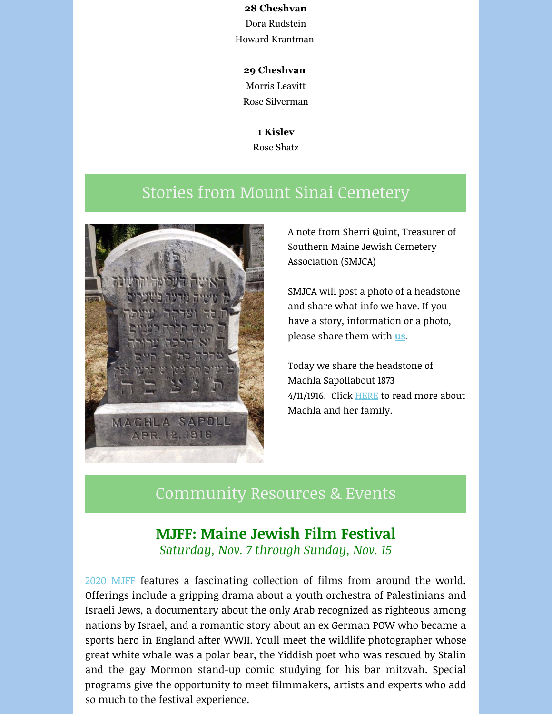#### **28 Cheshvan**

Dora Rudstein Howard Krantman

#### **29 Cheshvan**

Morris Leavitt

Rose Silverman

**1 Kislev** Rose Shatz

# Stories from Mount Sinai Cemetery



A note from Sherri Quint, Treasurer of Southern Maine Jewish Cemetery Association (SMJCA)

SMJCA will post a photo of a headstone and share what info we have. If you have a story, information or a photo, please share them with **[us.](mailto:info@smjca.org)**

Today we share the headstone of Machla Sapollabout 1873 4/11/1916. Click **[HERE](https://mainesynagogue.us3.list-manage.com/track/click?u=0f66df177ad66102da0546e53&id=4be97c4b38&e=41c50037b9)** to read more about Machla and her family.

### Community Resources & Events

### **MJFF: Maine Jewish Film Festival** *Saturday, Nov. 7 through Sunday, Nov. 15*

[2020 MJFF](https://mainesynagogue.us3.list-manage.com/track/click?u=0f66df177ad66102da0546e53&id=e3794ef708&e=41c50037b9) features a fascinating collection of films from around the world. Offerings include a gripping drama about a youth orchestra of Palestinians and Israeli Jews, a documentary about the only Arab recognized as righteous among nations by Israel, and a romantic story about an ex German POW who became a sports hero in England after WWII. Youll meet the wildlife photographer whose great white whale was a polar bear, the Yiddish poet who was rescued by Stalin and the gay Mormon stand-up comic studying for his bar mitzvah. Special programs give the opportunity to meet filmmakers, artists and experts who add so much to the festival experience.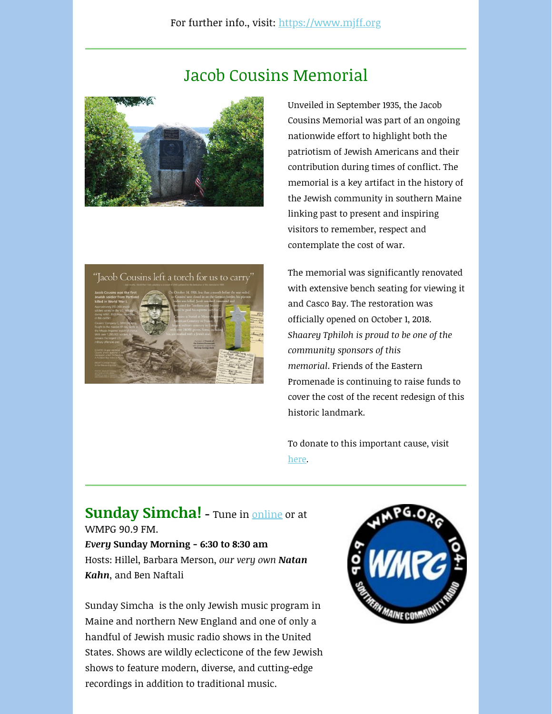# Jacob Cousins Memorial





Unveiled in September 1935, the Jacob Cousins Memorial was part of an ongoing nationwide effort to highlight both the patriotism of Jewish Americans and their contribution during times of conflict. The memorial is a key artifact in the history of the Jewish community in southern Maine linking past to present and inspiring visitors to remember, respect and contemplate the cost of war.

The memorial was significantly renovated with extensive bench seating for viewing it and Casco Bay. The restoration was officially opened on October 1, 2018. *Shaarey Tphiloh is proud to be one of the community sponsors of this memorial*. Friends of the Eastern Promenade is continuing to raise funds to cover the cost of the recent redesign of this historic landmark.

To donate to this important cause, visit [here.](https://mainesynagogue.us3.list-manage.com/track/click?u=0f66df177ad66102da0546e53&id=23e86fa705&e=41c50037b9)

### **Sunday Simcha!** - Tune in **online** or at WMPG 90.9 FM. *Every* **Sunday Morning - 6:30 to 8:30 am**

Hosts: Hillel, Barbara Merson, *our very own Natan Kahn*, and Ben Naftali

Sunday Simcha is the only Jewish music program in Maine and northern New England and one of only a handful of Jewish music radio shows in the United States. Shows are wildly eclecticone of the few Jewish shows to feature modern, diverse, and cutting-edge recordings in addition to traditional music.

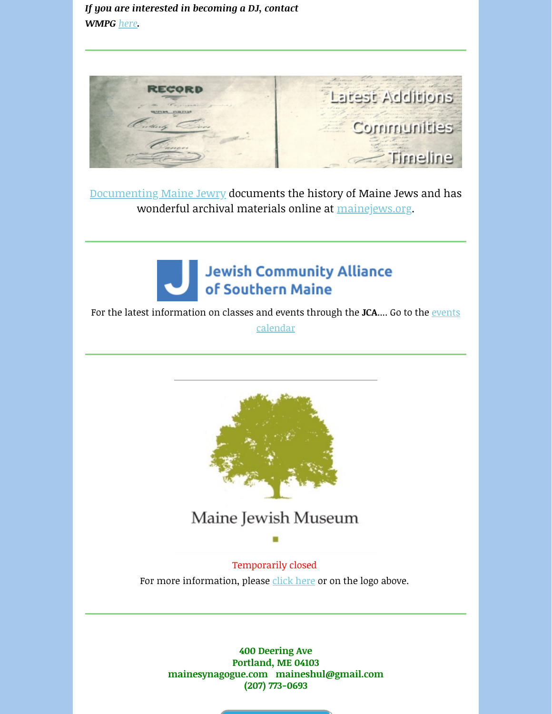### *If you are interested in becoming a DJ, contact WMPG [here](https://mainesynagogue.us3.list-manage.com/track/click?u=0f66df177ad66102da0546e53&id=4ad4d403c9&e=41c50037b9).*



[Documenting Maine Jewry](https://mainesynagogue.us3.list-manage.com/track/click?u=0f66df177ad66102da0546e53&id=a1311fa984&e=41c50037b9) documents the history of Maine Jews and has wonderful archival materials online at [mainejews.org.](https://mainesynagogue.us3.list-manage.com/track/click?u=0f66df177ad66102da0546e53&id=ea09721dad&e=41c50037b9)



For the latest information on classes [and events through the](https://mainesynagogue.us3.list-manage.com/track/click?u=0f66df177ad66102da0546e53&id=5269fb0f93&e=41c50037b9) JCA.... Go to the events calendar



# Maine Jewish Museum

Temporarily closed For more information, please [click here](https://mainesynagogue.us3.list-manage.com/track/click?u=0f66df177ad66102da0546e53&id=eb7078cdb1&e=41c50037b9) or on the logo above.

> **400 Deering Ave Portland, ME 04103 mainesynagogue.com maineshul@gmail.com (207) 773-0693**